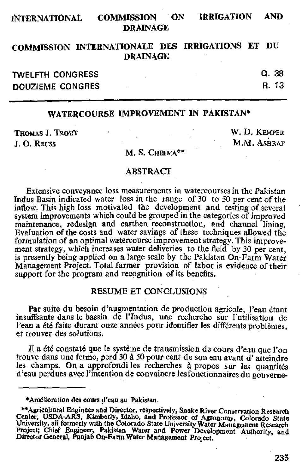# **INTERNATIONAL COMMISSION ON IRRIGATION AND DRAINAGE**

# **COMMISSION INTERNATIONALE DES IRRIGATIONS ET DU DRAINAGE**

| TWELFTH CONGRESS |  | Q. 38  |
|------------------|--|--------|
| DOUZIEME CONGRES |  | -R. 13 |

# **WATERCOURSE IMPROVEMENT IN PAKISTAN\***

J. O. REUSS M.M. ASHRAF

THOMAS J. TROUT THE CONSTRUCTION OF THE CONSTRUCTION OF THE CONSTRUCTION OF THE CONSTRUCTION OF THE CONSTRUCTION OF THE CONSTRUCTION OF THE CONSTRUCTION OF THE CONSTRUCTION OF THE CONSTRUCTION OF THE CONSTRUCTION OF THE CO

#### M. S. CHEEMA\*\*

#### ABSTRACT

Extensive conveyance loss measurements in watercourses in the Pakistan Indus Basin indicated water loss in the range of 30 to 50 per cent of the inflow. This high loss motivated the development and testing of several system improvements which could be grouped in the categories of improved maintenance, redesign and earthen reconstruction, and channel lining. Evaluation of the costs and water savings of these techniques allowed the formulation of an optimal watercourse improvement strategy. This improvement strategy, which increases water deliveries to the field by 30 per cent, is presently being applied on a large scale by the Pakistan On-Farm Water Management Project. Total farmer provision of labor is evidence of their support for the program and recognition of its benefits.

#### RESUME ET CONCLUSIONS

Par suite du besoin d'augmentation de production agricole, l'eau étant insuffsante dans le bassin de l'Indus, une recherche sur l'utilisation de l'eau a été faite durant onze années pour identifier les différents problèmes. et trouver des solutions.

Il a été constaté que le système de transmission de cours d'eau que l'on trouve dans une ferme, perd 30 A 50 pour cent de son eau avant d' atteindre les champs. On a approfondi les recherches à propos sur les quantités d'eau perdues avec l'intention de convaincre lesfonctionnaires du gouverne-

<sup>\*</sup>Amélioration des cours d'eau au Pakistan.

<sup>\*\*</sup>Agricultural Engineer and Director, respectively, Snake River Conservation Research Center, USDA-ARS, Kimberly, Idaho, and Professor of Agronomy, Colorado State University, all formerly with the Colorado State University Water Management Research Project; Chief Engineer, Pakistan Water and Power Development Authority, and Director General, Punjab On-Farm Water Management Project.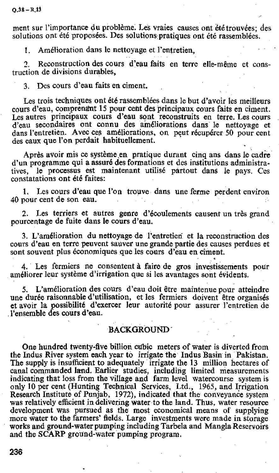ment sur l'importance du problème. Les vraies causes ont été trouvées; des solutions ont été proposées. Des solutions pratiques ont été rassemblées.

1. Amélioration dans le nettoyage et l'entretien.

2. Reconstruction des cours d'eau faits en terre elle-même et construction de divisions durables,

3. Des cours d'eau faits en ciment.

Les trois techniques ont été rassemblées dans le but d'avoir les meilleurs cours d'eau, comprenant 15 pour cent des principaux cours faits en ciment. Les autres principaux cours d'eau sont reconstruits en terre. Les cours d'eau secondaires ont connu des ameliorations dans le nettoyage et dans l'entretien. Avec ces améliorations, on peut récupérer 50 pour cent des eaux que l'on perdait habituellement.

Apres avoir mis ce systeme en pratique durant cinq ans dans Ie cadre d'un programme qui a assure des formations et des institutions administratives, le processus est maintenant utilisé partout dans le pays. Ces constatations ont été faites:

1. Les cours d'eau que l'on trouve dans une ferme perdent environ 40 pour cent de son eau.

2. Les terriers et autres genre d'écoulements causent un très grand pourcentage de fuite dans le cours d'eau.

3. L'amélioration du nettoyage de l'entretien et la reconstruction des cours d'eau en terre peuvent sauver une grande partie des causes perdues et sont souvent plus economiques que les cours d'eau en ciment.

4. Les fermiers ne consentent a faire de gros investissements pour améliorer leur système d'irrigation que si les avantages sont évidents.

5. L'amelioration des cours d'eau dolt etre maintenue pour atteindre une durée raisonnable d'utilisation, et les fermiers doivent être organisés et avoir la possibilité d'exercer leur autorité pour assurer l'entretien de .l'ensemble des cours d'eau.

## BACKGROUND"

One hundred twenty-five billion cubic meters of water is diverted from the Indus River system each year to irrigate the Indus Basin in Pakistan. The supply is insufficient to adequately irrigate the 13 million hectares of canal commanded land. Earlier studies, including limited measurements indicating that loss from the village and farm level watercourse system is only 10 per cent (Hunting Technical Services, Ltd., 1965, and Irrigation Research Institute of Punjab, 1972), indicated that the conveyance system was relatively efficient in delivering water to the land. Thus, water resource development was pursued as the most economical means of supplying more water to the farmers' fields. Large investments were made in storage works and ground-water pumping including Tarbela and Mangla Reservoirs and the SCARP ground-water pumping program.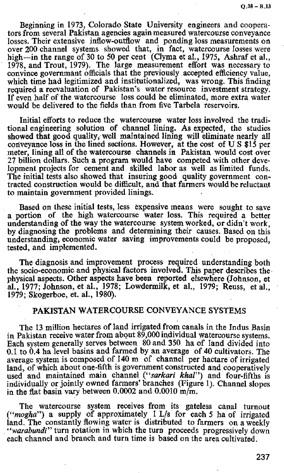Beginning in 1973, Colorado. State University engineers and cooperators from several Pakistan agencies again measured watercourse conveyance losses. Their extensive inflow-outflow and ponding loss measurements on over 200 channel systems showed that, **in** fact, watercourse losses were high—in the range of 30 to 50 per cent (Clyma et al., 1975, Ashraf et al., 1978, and Trout, 1979). The large measurement effort was necessary to convince govermnant officials that the previously accepted efficiency value, which time had legitimized and institutionalized, was wrong. This finding required a reevaluation of Pakistan's water resource investment strategy. If even half of the watercourse loss could be eliminated, more extra water would be delivered to the fields than from five Tarbela reservoirs.

Initial efforts to reduce the watercourse water loss involved the traditional engineering solution of' channel lining. As expected, the studies showed that good quality, well maintained lining will eliminate nearly all conveyance loss in the lined sections. However, at the cost of U S \$15 per meter, lining all of the watercourse channels in Pakistan would cost over 27 billion dollars. Such a program would have competed with other development projects for cement and skilled labor as well as limited funds. The initial tests also showed that insuring good quality government contracted construction would be difficult, and that farmers would be reluctant to maintain government provided linings.

Based on these initial tests, less expensive means were sought to save a portion of the high watercourse water loss. This required a better understanding of the way the watercourse system worked, or didn't work, by diagnosing the problems and determining their causes. Based on this understanding, economic water saving improvements could be proposed, tested, and implemented.

The diagnosis and improvement process required understanding both the socio-economic and physical factors involved. This paper describes the physical aspects. Other aspects have been reported elsewhere (Johnson, et al., 1977; Johnson, et al., 1978; Lowdermilk, et al., 1979; Reuss, et al., 1979; Skogerboe, et. al., 1980).

## PAKISTAN WATERCOURSE CONVEYANCE SYSTEMS

The 13 million hectares of land irrigated from canals in the Indus Basin in Pakistan receive water from about 89,000 individual watercourse systems. Each system generally serves between 80 and 350 ha of land divided into 0.1 to 0.4 ha level basins and farmed by an average of 40 cultivators. The average system is composed of  $140 \text{ m}$  of channel per hactare of irrigated average system is composed of 140 m of channel per hactare of irrigated and, of which about one-fifth is government constructed and cooperatively used and maintained main channel *("sarkari khal*") and four-fifths is individually or jointly owned farmers' branches (Figure 1). Channel slopes in the flat basin vary between  $0.0002$  and  $0.0010$  m/m.

The watercourse system receives from its gateless canal turnout ("mogha") a supply of approximately  $1$  L/s for each 5 ha of irrigated land. The constantly flowing water is distributed to farmers on a weekly *"warabundi"* turn rotation in which the turn proceeds progressively down each channel and branch and turn time is based on the area cultivated.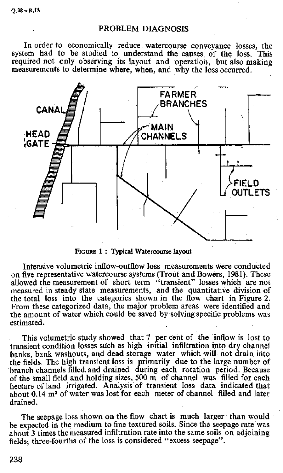## PROBLEM DIAGNOSIS

In order to economically reduce watercourse conveyance losses, the system had to be studied to understand the causes, of the loss. This required not only observing its layout and operation, but also making measurements to determine where, when, and why the loss occurred.



FIGURE 1 : Typical Watercourse layout

Intensive volumetric inflow-outflow loss measurements were conducted on five representative watercourse systems (Trout and Bowers, 1981). These allowed the measurement of short term "transient" losses which are not measured in steady state measurements, and the quantitative division of the total loss into the categories shown in the flow chart in Figure 2. From these categorized data, the major problem areas were identified and the amount of water which could be saved by solving specific problems was estimated.

This volumetric study showed that 7 per cent of the inflow is lost to transient condition losses such as high initial infiltration into dry channel banks, bank washouts, and dead storage water which will not drain into the fields. The high transient loss is primarily due to the large number of branch channels filled and drained during each rotation period. Because of the small field and holding sizes, 500 m, of channel was filled for each hectare of land irrigated. Analysis'of transient loss data indicated that about  $0.14 \text{ m}^3$  of water was lost for each meter of channel filled and later drained.

The seepage loss shown on the flow chart is much larger than would be expected in the medium to fine textured soils. Since the seepage rate was about 3 times the measured infiltration rate into the same soils on adjoining fields., three-fourths of the loss is considered "excess seepage".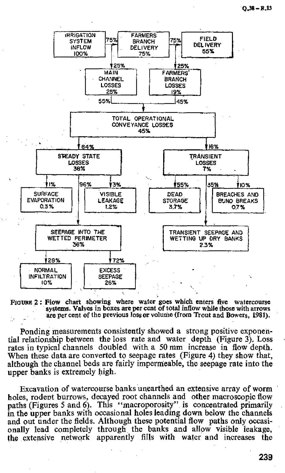

FIGURE 2: Flow chart showing where water goes which enters five watercourse systems. Valves in boxes are per cent of total inflow while those with arrows are per cent of the previous loss or volume (from Trout and Bowers, 1981).

Ponding measurements consistently showed a strong positive exponential relationship between the loss rate and water depth (Figure 3). Loss rates in typical channels doubled with a 50 mm increase in flow depth. When these data are converted to seepage rates (Figure 4) they show that, although the channel beds are fairly impermeable, the seepage rate into the upper banks is extremely high.

Excavation of watercourse banks unearthed an extensive array of worm holes, rodent burrows, decayed root channels and other macroscopic flow paths (Figures 5 and 6). This "macroporosity" is concentrated primarily in the upper banks with occasional holes leading down below the channels and out under the fields. Although these potential flow paths only occasionally lead completely through the banks and allow visible leakage, the extensive network apparently fills with water and increases the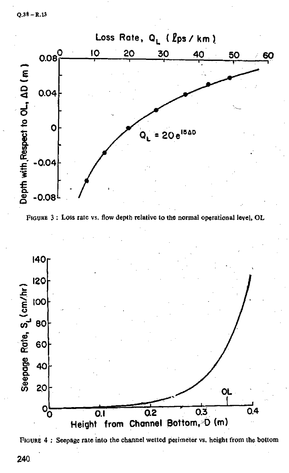







240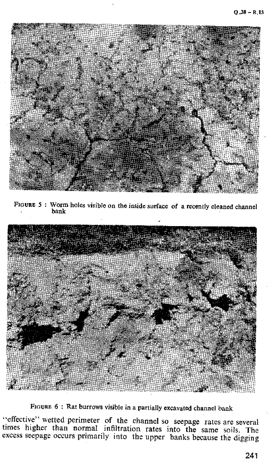

FIGURE 5 : Worm holes visible on the inside surface of a recently cleaned channel bank



FIGURE 6 : Rat burrows visible in a partially excavated channel bank

"effective" wetted perimeter of the channel so seepage rates are several times higher than normal infiltration rates into the same soils. The excess seepage occurs primarily into the upper banks because the digging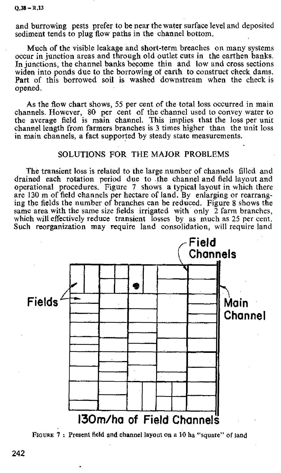and burrowing pests prefer to be near the water surface level and deposited sediment tends to plug flow paths in the channel bottom.

Much of the visible leakage and short-term breaches on many systems occur in junction areas and through old outlet cuts in the earthen banks. In junctions, the channel banks become thin and low and cross sections widen into ponds due to the borrowing of earth to construct check dams. Part of this borrowed soil is washed downstream when the check is opened.

As the flow chart shows, 55 per cent of the total loss occurred in main channels. However, 80 per cent of the channel used to convey water to the average field is main channel. This implies that the loss per unit channel length from farmers branches is 3 times higher than the unit loss in main channels, a fact supported by steady state measurements.

### SOLUTIONS FOR THE MAJOR PROBLEMS

The transient loss is related to the large number of channels filled and drained each rotation period due to the channel and field layout and operational procedures. Figure 7 shows a typical layout in which there are 130 m of field channels per hectare of land. By enlarging or rearranging the fields the number of branches can be reduced. Figure 8 shows the same area with the same size fields irrigated with only  $\overline{2}$  farm branches, which will effectively reduce transient losses by as much as 25 per cent. Such reorganization may require land consolidation, will require land



**FIGURE 7 : Present field and channel layout on a 10 ha "square" of land**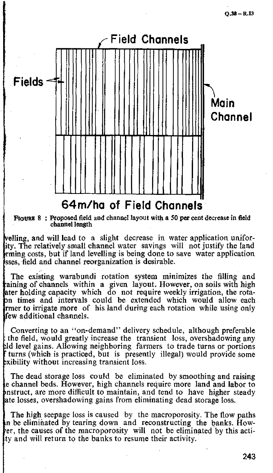

**From 8 : Proposed field and channel layout with a 50 per cent decrease in field channel length**

elling, and will lead to a slight decrease in water application unifority, The relatively small channel water savings will not justify the land rming costs, but if land levelling is being done to save water application sses, field and channel reorganization is desirable.

The existing warabundi rotation system minimizes the filling and aining of channels within a given layout. However, on soils with high ater holding capacity which do not require weekly irrigation, the rotaon times and intervals could be extended which would allow each ratrater to irrigate more of his land during each rotation while using only few additional channels.

Converting to an "on-demand" delivery schedule, although preferable the field, would greatly increase the transient loss, overshadowing any ld level gains. Allowing neighboring farmers to trade turns or portions turns (which is practiced, but is presently illegal) would provide some xibility without increasing transient loss.

The dead storage loss could be eliminated by smoothing and raising e channel beds. However, high channels require more land and labor to nstruct, are more difficult to maintain, and tend to have higher steady ate losses, overshadowing gains from eliminating dead storage loss.

The high seepage loss is caused by the macroporosity. The flow paths n be eliminated by tearing down and reconstructing the banks. Hower, the causes of the macroporosity will not be eliminated by this actity and will return to the banks to resume their activity.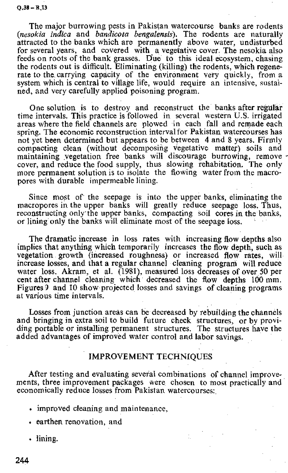**0.38 - R.13**

The major burrowing pests in Pakistan watercourse banks are rodents *(nesokia indica* and *bandicota bengalensis).* The rodents are naturally attracted to the banks which are permanently above water, undisturbed for several years, and covered with a vegetative cover. The nesokia also feeds on roots of the bank grasses. Due to this ideal ecosystem, chasing the rodents out is difficult. Eliminating (killing) the rodents, which regenerate to the carrying capacity of the environment very quickly, from a system which is central to village life, would require an intensive, sustained, and very carefully applied poisoning program.

One solution is to destroy and reconstruct the banks after regular time intervals. This practice is followed in several western U.S. irrigated areas where the field channels are plowed in each fall and remade each spring. The economic reconstruction interval for Pakistan watercourses has not yet been determined but appears to be between 4 and 8 years. Firmly compacting clean (without decomposing vegetative matter) soils and maintaining vegetation free banks will discourage burrowing, remove cover, and reduce the food supply, thus slowing rehabitation. The only more permanent solution is to isolate the flowing water from the macropores with durable impermeable lining.

Since most of the seepage is into the upper banks, eliminating the macropores in the upper banks will greatly reduce seepage loss. Thus, reconstructing only the upper banks, compacting soil cores in the banks, or lining only the banks will eliminate most of the seepage loss. -

The dramatic increase in loss rates with increasing flow depths also implies that anything which temporarily increases the flow depth, such as vegetation growth (increased roughness) or increased flow rates, will increase losses, and that a regular channel cleaning program will reduce water loss. Akram, et al. (1981), measured loss decreases of over 50 per cent after channel cleaning which decreased the flow depths 100 mm. Figures 9 and 10 show projected losses and savings of cleaning programs at various time intervals.

Losses from junction areas can be decreased by rebuilding the channels and bringing in extra soil to build future check structures, or by providing portable or installing permanent structures. The structures have the added advantages of improved water control and labor savings.

## IMPROVEMENT TECHNIQUES

After testing and evaluating several combinations of channel improvements, three improvement packages were chosen to most practically and economically reduce losses from Pakistan watercourses:

- improved cleaning and maintenance,
- earthen renovation, and
- lining.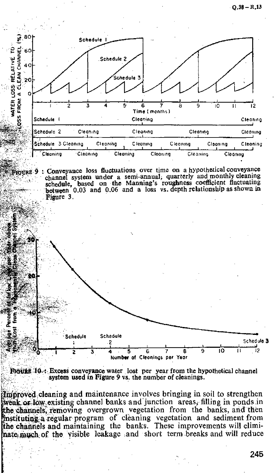$-0.38 - R_{11}$ 



FIGURE 10-4. Excess conveyance water lost per year from the hypothetical channel **system used in Figure 9 vs.** the number of cleanings.

Improved cleaning and maintenance involves bringing in soil to strengthen weak or low existing channel banks and junction areas, filling in ponds in the channels, removing overgrown vegetation from the banks, and then nstituting a regular program of cleaning vegetation and sediment from he channels and maintaining the banks. These improvements will elimithate much of the visible leakage and short term breaks and will reduce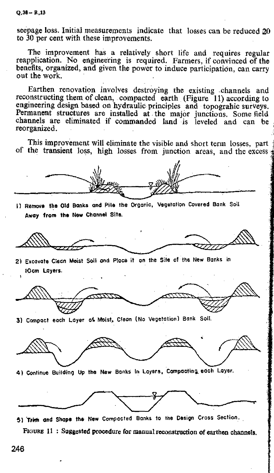Q.38— R.13

seepage loss. Initial measurements indicate that losses can be reduced 20 to 30 per cent with these improvements.

The improvement has a relatively short life and requires regular reapplication. No engineering is required. Farmers, if convinced of the benefits, organized, and given the power to induce participation, can carry out the work.

Earthen renovation involves destroying the existing channels and reconstructing them of clean, compacted earth (Figure 11) according to engineering design based on hydraulic principles and topograhic surveys. Permanent structures are installed at the major junctions. Some field channels are eliminated if commanded land is leveled and can be reorganized.

This improvement will eliminate the visible and short term losses, part of the transient loss, high losses from junction areas, and the excess  $\frac{1}{3}$ 

1) Remove the Old Banks and Pile the Organic, Vegetation Covered Bank Soil Away from the New Channel Site.

21 Excavate Clean Moist Soil and Place it on the Site of the New Banks in 10cm Layers.

**Ao**r

31 Compact each Layer at Moist. Clean (No Vegetation) Bank Soli.



4) Continue Building Up the New Banks In Layers. Compacting . each Layer.



5) Trim and Shape the New Compacted Banks to the Design Cross Section.

**FIGURE 11 : Suggested** procedure **for manual** reconstruction **of earthen channels.**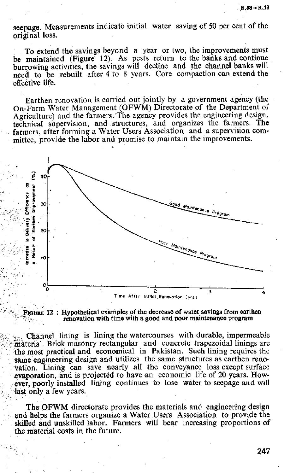seepage. Measurements indicate initial water saving of 50 per cent of the original loss.

To extend the savings beyond a year or two, the improvements must be maintained (Figure 12). As pests return to the banks and continue burrowing activities, the savings will decline and the channel banks will need to be rebuilt after 4 to 8 years. Core compaction can extend the effective life.

Earthen renovation is carried out jointly by a government agency (the On-Farm Water Management (OFWM) Directorate of the Department of Agriculture) and the farmers. The agency provides the engineering design, technical supervision, and structures, and organizes the farmers. The farmers, after forming a Water Users Association and a supervision committee, provide the labor and promise to maintain the improvements.

•





Channel lining is lining the watercourses with durable, impermeable material. Brick masonry rectangular and concrete trapezoidal linings are the most practical and economical in Pakistan. Such lining requires the same engineering design and utilizes the same structures as earthen renovation. Lining can save nearly all the conveyance loss except surface evaporation, and is projected to have an economic life of 20 years. However, poorly installed lining continues to lose water to seepage and will last only a few years.

The OFWM directorate provides the materials and engineering design and helps the farmers organize a Water Users Association to provide the skilled and unskilled labor. Farmers will bear increasing proportions of the material costs in the future.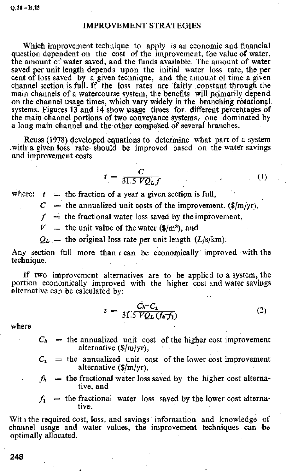## IMPROVEMENT STRATEGIES

Which improvement technique to apply is an economic and financial question dependent on the cost of the improvement, the value of water, the amount of water saved, and the funds available. The amount of water saved per unit length depends upon the initial water loss rate, the per cent of loss saved by a given technique, and the amount of time a given channel section is full. If the loss rates are fairly constant through the main channels of a watercourse system, the benefits will primarily depend on the channel usage times, which vary widely in the branching rotational systems. Figures 13 and 14 show usage times for different percentages of the main channel portions of two conveyance systems, one dominated by a long main channel and the other composed of several branches.

Reuss (1978) developed equations to determine what part of a system with a given loss rate should be improved based on the water savings and improvement costs.

$$
t = \frac{C}{31.5\,VQ_Lf}
$$

 $(1)$ 

where:  $t =$  the fraction of a year a given section is full,

 $C =$  the annualized unit costs of the improvement. ( $\frac{m}{yr}$ ),

 $f$  = the fractional water loss saved by the improvement,

 $V =$  the unit value of the water (\$/m<sup>3</sup>), and

 $Q_L$  = the original loss rate per unit length (L/s/km).

Any section full more than  $t$  can be economically improved with the technique.

If two improvement alternatives are to be applied to a system, the portion economically improved with the higher cost and water savings alternative can be calculated by:

$$
t = \frac{C_h - C_1}{31.5\ VQ_L\ (f_h - f_1)}\tag{2}
$$

where

- $C_h$  = the annualized unit cost of the higher cost improvement alternative  $(\frac{f}{m}y_r)$ ,
- $C_1$  = the annualized unit cost of the lower cost improvement alternative (\$fm/yr),
- $f_h$  = the fractional water loss saved by the higher cost alternative, and
- $f_1$  = the fractional water loss saved by the lower cost alternative.

With the required cost, loss, and savings information and knowledge of channel usage and water values, the improvement techniques can be optimally allocated.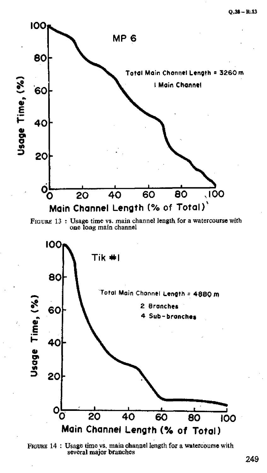$Q.38 - R.13$ 







FIGURE 14 : Usage time vs. main channel length for a watercourse with several major branches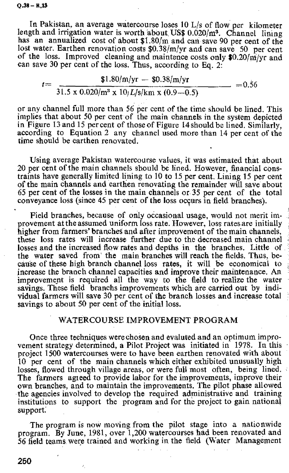In Pakistan, an average watercourse loses  $10$  L/s of flow per kilometer length and irrigation water is worth about US\$  $0.020/m^3$ . Channel lining has an annualized cost of about \$1.80/m and can save 90 per cent of the lost water. Earthen renovation costs \$0.38/m/yr and can save 50 per cent of the loss. Improved cleaning and maintence costs only  $\frac{10.20}{\text{m}}$ yr and can save 30 per cent of the loss. Thus, according to Eq. 2:

$$
t = \frac{$1.80/m/yr - $0.38/m/yr}{31.5 \times 0.020/m^3 \times 10/L/s/km \times (0.9-0.5)} = 0.56
$$

or any channel full more than 56 per cent of the time should be lined. This implies that about 50 per cent of the main channels in the system depicted in Figure 13 and 15 per cent of those of Figure 14 should be lined. Similarly, according to Equation 2 any channel used more than 14 per cent of the time should be earthen renovated.

Using average Pakistan watercourse values, it was estimated that about 20 per cent of the main channels should be lined. However, financial constraints have generally limited lining to 10 to 15 per cent. Lining 15 per cent of the main channels and earthen renovating the remainder will save about 65 per cent of the losses in the main channels or 35 per cent of the total conveyance loss (since 45 per cent of the loss occurs in field branches).

Field branches, because of only occasional usage, would not merit improvement at the assumed uniform bass rate. However, loss rates are initially higher from farmers' branches and after improvement of the main channels, these loss rates will increase further due to the decreased main channel losses and the increased flow rates and depths in the branches. Little of the water saved from the main branches will reach the fields. Thus, because of these high branch channel loss rates, it will be economical to increase the branch channel capacities and improve their maintenance. An improvement is required all the way to the field to realize the water savings. These field branchs improvements which are carried out by individual farmers will save 30 per cent of the branch losses and increase total savings to about 50 per cent of the initial loss.

### WATERCOURSE IMPROVEMENT PROGRAM

Once three techniques were chosen and evaluted and an optimum improvement strategy determined, a Pilot Project was initiated in 1978. In this project 1500 watercourses were to have been earthen renovated with about 10 per cent of the main channels which either exhibited unusually high losses, flowed through village areas, or were full most often, being lined. The farmers agteed to provide labor for the improvements, improve their own branches, and to maintain the improvements. The pilot phase allowed the agencies involved to develop the required administrative and training institutions to support the program and for the project to gain national support:

The program is now moving from the pilot stage into a nationwide program. By June, 1981, over 1,200 watercourses had been renovated and 56 field teams were trained and working in the field (Water Management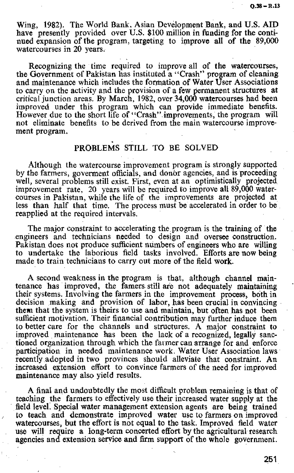Wing, 1982). The World Bank, Asian Development Bank, and U.S. AID have presently provided over U.S. \$100 million in funding for the continued expansion of the program, targeting to improve all of the 89,000 watercourses in 20 years.

Recognizing the time required to improve all of the watercourses, the Government of Pakistan has instituted a "Crash" program of cleaning and maintenance which includes the formation of Water User Associations to carry on the activity and the provision of a few permanent structures at critical junction areas. By March, 1982, over 34,000 watercourses had been improved under this program which can provide immediate benefits. However due to the short life of "Crash" improvements, the program will not eliminate benefits to be derived from the main watercourse improvement program.

## PROBLEMS STILL TO BE SOLVED

Although the watercourse improvement program is strongly supported by the farmers, goverment officials, and donor agencies, and is proceeding well, several problems still exist. First, even at an optimistically projected improvement rate, 20 years will be required to improve all 89,000 watercourses in Pakistan, while the life of the improvements are projected at less than half that time. The process must be accelerated in order to be reapplied at the required intervals,

The major constraint to accelerating the program is the training of the engineers and technicians needed to design and oversee construction. Pakistan does not produce sufficient numbers of engineers who are willing to undertake the laborious field tasks involved. Efforts are now being made to train technicians to carry out more of the field work.

A second weakness in the program is that, although channel maintenance has improved, the famers still are not adequately maintaining their systems. Involving the farmers in the improvement process, both in decision making and provision of labor, has been crucial in convincing them that the system is theirs to use and maintain, but often has not been sufficient motivation. Their financial contribution may further induce them to better care for the channels and structures. A major constraint to improved maintenance has been the lack of a recognized, legally sanctioned organization through which the farmer can arrange for and enforce participation in needed maintenance work. Water User Association laws recently adopted in two provinces should alleviate that constraint. An increased extension effort to convince farmers of the need for improved maintenance may also yield results.

A final and undoubtedly the most difficult problem remaining is that of teaching the farmers to effectively use their increased water supply at the field level. Special water management extension agents are being trained to teach and demonstrate improved water use to farmers on improved watercourses, but the effort is not equal to the task. Improved field water use will require a long-term concerted effort by the agricultural research agencies and extension service and firm support of the whole government.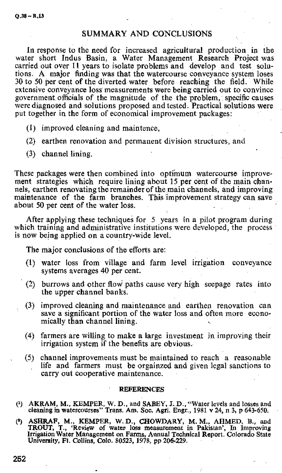### SUMMARY AND CONCLUSIONS

In response to the need for increased agricultural production in the water short Indus Basin, a Water Management Research Project was carried out over 11 years to isolate problems and develop and test solutions. A major finding was that the watercourse conveyance system loses 30 to 50 per cent of the diverted water before reaching the field. While extensive conveyance loss measurements were being carried out to convince government officials of the magnitude of the the problem, specific causes were diagnosed and solutions proposed and tested. Practical solutions were put together in the form of economical improvement packages:

- (1) improved cleaning and maintence,
- (2) earthen renovation and permanent division structures, and
- (3) channel lining.

These packages were then combined into optimum watercourse improvement strategies which require lining about 15 per cent of the main channels, earthen renovating the remainder of the main channels, and improving maintenance of the farm branches. This improvement strategy can save about 50 per cent of the water loss.

After applying these techniques for  $5$  years in a pilot program during which training and administrative institutions were developed, the process is now being applied on a country-wide level.

The major conclusions of the efforts are:

- (1) water loss from village and farm level irrigation conveyance systems averages 40 per cent.
- (2) burrows and other flovi paths cause very high seepage rates into the upper channel banks.
- (3) improved cleaning and maintenance and earthen renovation can save a significant portion of the water loss and often more economically than channel lining.
- (4) farmers are willing to make a large investment in improving their irrigation system if the benefits are obvious.
- (5) channel improvements must be maintained to reach a reasonable life and farmers must be orgainzed and given legal sanctions to carry out cooperative maintenance.

#### **REFERENCES**

- (1) AKRAM, M., KEMPER, W. D., and SABEY, J. D., "Water levels and tosses and cleaning in watercourses" Trans. Am. Soc. Agri. Engr., 1981 v 24, n 3, p 643-650.
- (2) ASHRAF, M., KEMPER, W. D., CHOWDARY, M. M., AHMED, B., and TROUT, T., 'Review of water loss measurement in Pakistan', In Improving Irrigation Water Management on Farms, Annual Technical Report. Colorado State University, Ft. Collins, Colo. 80523, 1978, pp 206-229.

252